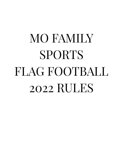# MO FAMILY SPORTS FLAG FOOTBALL 2022 RULES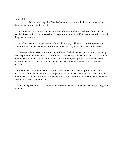Game Rules:

1. At the start of each game, captains from both teams meet at midfield for the coin toss to determine who starts with the ball.

2. The winner of the coin toss has the choice of offense or defense. The loser of the coin toss has the choice of direction. Possession changes to start the second half to the team that started the game on defense.

3. The offensive team takes possession of the ball at its 5-yard line and has four (4) downs to cross midfield. Once a team crosses midfield, it has four (4) downs to score a touchdown.

4. If the offense fails to score after crossing midfield, the ball changes possession. A team may elect to punt on 4th down, and the new offensive team starts its drive on its own 5-yard line. If the offensive team elects to go for it on 4th down and fails, the opposing team will have the option to take over at its own 5 or the spot of the loss of downs, whichever is better field position.

5. If the offensive team fails to cross midfield, on 3 downs, and elect to "punt" on 4th down, possession of the ball changes and the opposition starts its drive from its own 5-yard line. If the offensive team goes for it on 4th down and does not cross midfield, the opposing team will start its possession from the spot.

6. Teams change sides after the first half. Possession changes to the team that started the game on defense.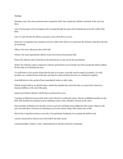#### Terms

Boundary Lines The outer perimeter lines around the field. They include the sidelines and back of the end zone lines.

Line of Scrimmage (LOS) an imaginary line running through the point of the football and across the width of the field.

Line-to-Gain The line the offense must pass to get a first down or score.

Rush Line An imaginary line running across the width of the field seven yards (into the defensive side) from the line of scrimmage.

Offense The team with possession of the ball.

Defense The team opposing the offense to prevent it from advancing the ball.

Passer The offensive player that throws the ball and may or may not be the quarterback.

Rusher The defensive player assigned to rush the quarterback to prevent him/ her from passing the ball by pulling his/her flags or by blocking the pass.

Live Ball Refers to the period of time that the play is in action. Generally used in regard to penalties. Live ball penalties are considered part of the play and must be enforced before the down is considered complete.

Dead Ball Refers to the period of time immediately before or after a play.

Whistle Sound made by an official using a whistle that signifies the end of the play or a stop in the action for a timeout, halftime or the end of the game.

Inadvertent Whistle Official's whistle that is performed in error.

Charging An illegal movement of the ball-carrier directly at a defensive player who has established position on the field. This includes lowering the head or initiating contact with a shoulder, forearm or the chest.

Flag Guarding An illegal act by the ball-carrier to prevent a defender from pulling the ball-carrier's flags by stiff arm, lowering elbow or head or by blocking access to the runner's flags with a hand, arm or ball.

Shovel Pass A legal forward pass across the LOS underhand, backhand or by pushing the ball forward.

Lateral A backward or sideway toss of the ball by the ball-carrier.

Unsportsmanlike Conduct A rude, confrontational or offensive behavior or language.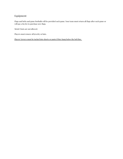# Equipment

Flags and belts and game footballs will be provided each game. Your team must return all flags after each game or will pay a \$15 fee to purchase new flags.

Metal Cleats are not allowed.

Players must remove all jewelry or hats.

Players' jerseys must be tucked into shorts or pants if they hang below the belt line.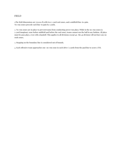## FIELD

1.The field dimensions are 70x200 ft,with two 5-yard end zones, and a midfield line-to-gain. No-run zones precede each line-to gain by 5 yards.

2. No-run zones are in place to prevent teams from conducting power run plays. While in the no-run zones (a 5-yard imaginary zone before midfield and before the end zone), teams cannot run the ball in any fashion. All plays must be pass plays, even with a handoff. This applies to all divisions except 4u- the 4u division will not have any no rush zones.

3. Stepping on the boundary line is considered out of bounds.

4. Each offensive team approaches one no-run zone in each drive ( 5 yards from the goal line to score a TD).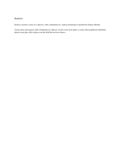## Rosters

Rosters can have a max of 12 players, with a minimum of 7, unless permission is granted by league officials.

Teams must start games with a minimum of 7 players. In the event of an injury, a team with insufficient substitute players may play with 6 players on the field but no fewer than 6.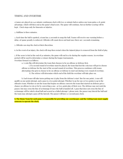#### TIMING AND OVERTIME

1.Games are played on a 40 minute continuous clock with two 20 minute halves unless one team gains a 28-point advantage, which will then end as the game's final score. The game will continue, but no further scoring will be kept. Clock stops only for timeouts or injuries.

2. Halftime is three minutes.

3. Each time the ball is spotted, a team has 25 seconds to snap the ball. Teams will receive one warning before a delay-of-game penalty is enforced. Officials will count down out loud once there are 5 seconds remaining.

5. Officials can stop the clock at their discretion.

6. In the event of an injury, the clock will stop then restart when the injured player is removed from the field of play.

7. If the score is tied at the end of 40 minutes, the game will end in a tie during the regular season. An overtime period will be used to determine a winner during the league tournament.. Overtime format is as follows:

a. A coin flip will determine the team that chooses to be on offense or defense first.

i. If a second round of overtime must be played, the team that lost the coin toss will get to choose offense or defense for the start of the second round of overtime. This process continues with teams alternating who gets to choose to be on offense or defense to start out during every round of overtime. ii. The referee will determine which end of the field the overtime will take place on.

b. Each team will take turns getting one (1) play from the defense's start line for one point. A run will qualify as one point attempt, and a pass is a two point attempt. Whether to go for one or two points is up to the offensive team. Whether or not the team that begins on offense converts the team that started on defense gets a chance on offense to win or tie by converting a one- or two-point play of their own. The defense may not rush the passer, but may cross the line of scrimmage if/once the ball is handed off. A pass that does not cross the line of scrimmage will be ruled a dead ball and scored as a failed attempt ( please note, the passer may lateral the ball and the team may attempt a pass off the lateral). The passer will have a 7 second pass clock.

8. The Home Team for each game is responsible for providing one scorekeeper, and the visiting team must supply **someone to operate the clock.**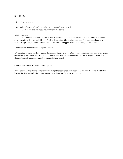#### SCORING

#### 1. Touchdown: 6 points

2. PAT (point after touchdown) 1 point (Run) or 2 points (Pass): 5 yard line a. You MUST declare if you are going for 1 or 2 points.

#### 3. Safety: 2 points

a. A safety occurs when the ball-carrier is declared down in his/her own end zone. Runners can be called down when their flags are pulled by a defensive player, a flag falls out, they step out of bounds, their knee or arm touches the ground, a fumble occurs in the end zone or if a snapped ball lands in or beyond the end zone.

4. Extra points that are returned equals 2 points.

5. A team that scores a touchdown must declare whether it wishes to attempt a 1-point conversion (run) or a 2-point conversion (pass) from the 5 yard line. Any change, once a decision is made to try for the extra point, requires a charged timeout. A decision cannot be changed after a penalty.

6. Forfeits are scored 28-0 for the winning team.

7. The coaches, officials and scorekeeper must sign the score sheet. If a coach does not sign the score sheet before leaving the field, the official will note on that score sheet and the score will be FINAL.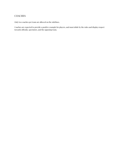## **COACHES**

Only two coaches per team are allowed on the sidelines.

Coaches are expected to provide a positive example for players, and must abide by the rules and display respect towards officials, spectators, and the opposing team.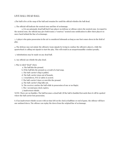#### LIVE BALL/DEAD BALL

1.The ball is live at the snap of the ball and remains live until the official whistles the ball dead.

2. The official will indicate the neutral zone and line of scrimmage.

a. It is an automatic dead ball foul if any player on defense or offense enters the neutral zone. In regard to the neutral zone, the official may give both teams a "courtesy" neutral zone notification to allow their players to move back behind the line of scrimmage.

3. A player who gains possession in the air is considered inbounds as long as one foot comes down in the field of play.

4. The defense may not mimic the offensive team signals by trying to confuse the offensive players, while the quarterback is calling out signals to start the play. This will result in an unsportsmanlike conduct penalty.

5. Substitutions may be made on any dead ball.

6. Any official can whistle the play dead.

#### 7. Play is ruled "dead" when:

a. The ball hits the ground.

b. If the ball hits the ground as a result of a bad snap.

c. The ball-carrier's flag is pulled.

d. The ball-carrier steps out of bounds.

e. A touchdown, PAT or safety is scored.

f. The ball-carrier's knee or arm hits the ground.

g. The ball-carrier's flag falls out.

h. The receiver catches the ball while in possession of one or no flag(s).

i. The 7 second pass clock expires.

j. Inadvertent whistle.

NOTE: There are no fumbles. The ball becomes a dead ball. (If the ball is fumbled forwards then it will be spotted where the ball carrier lost possession.

8. If an inadvertent whistle occurs with no time left on the clock at halftime or end of game, the offense will have one untimed down. The offense can replay the down from the original line of scrimmage.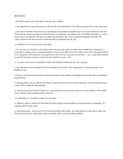#### RUNNING

1. The ball is spotted where the ball is when the flag is pulled.

2. The quarterback cannot directly run with the ball. The quarterback is the offensive player who receives the snap.

3. Only direct handoffs behind the line of scrimmage are permitted. Handoffs may be in front, behind or to the side of the offensive player but must be behind the line of scrimmage. The offense may use multiple handoffs. a. "Center sneak" play is not allowed. The QB is not allowed to handoff to the center on the first handoff of the play- the Center cannot be the first person to touch the ball on a handoff from the QB.

4. Absolutely NO forward laterals of any kind.

5. No-run Zones are located 5 yards before each end zone and 5 yards on either side of midfield are designed to avoid short-yardage power-running situations. Teams are not allowed to run in these zones if the subsequent line is LIVE. (Reminder: Each offensive team approaches only TWO no-run zones in each drive – one 5 yards from midfield to gain the first down and one 5 yards from the goal line to score a TD).

6. Any player who receives a handoff can throw the ball from behind the line of scrimmage.

7. Once the ball has been handed off in front, behind or to the side of the quarterback, all defensive players are eligible to rush.

8. Runners may not leave their feet to advance the ball. Diving, leaping or jumping to avoid a flag pull is considered flag guarding.

9. Spinning/Jump Cuts are allowed, but players cannot leave their feet to avoid a flag pull. a. Players spinning out of control will be called for flag guarding.

10. Runners may leave their feet if there is a clear indication that he/she has done so to avoid collision with another player without a flag guarding penalty enforced.

11. No blocking or "screening" is allowed at any time.

12. Offensive players without the ball must stop their motion once the ball has crossed the line of scrimmage. No running with the ball-carrier.

13. Flag obstruction – All jerseys MUST be tucked in before play begins. The flags must be on the player's hips and free from obstruction. Deliberately obstructed flags will be considered flag guarding.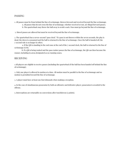#### PASSING

1. All passes must be from behind the line of scrimmage, thrown forward and received beyond the line scrimmage. a. All passes that do not cross the line of scrimmage, whether received or not, are illegal forward passes. b. The quarterback may throw the ball away to avoid a sack. Pass must go beyond the line of scrimmage.

2. Shovel passes are allowed but must be received beyond the line of scrimmage.

3. The quarterback has a seven-second "pass clock." If a pass is not thrown within the seven seconds, the play is dead, the down is consumed and the ball is returned to the line of scrimmage. Once the ball is handed off, the 7-second rule is no longer in effect.

a. If the QB is standing in the end zone at the end of the 7-second clock, the ball is returned to the line of scrimmage (LOS).

B. If a QB is being rushed and the pass rusher passes the line of scrimmage, the QB can then become the runner, including in areas designated as no running zones.

#### RECEIVING

1.All players are eligible to receive passes (including the quarterback if the ball has been handed off behind the line of scrimmage).

2. Only one player is allowed in motion at a time. All motion must be parallel to the line of scrimmage and no motion is permitted toward the line of scrimmage.

3. A player must have at least one foot inbounds when making a reception.

4. In the case of simultaneous possession by both an offensive and defensive player, possession is awarded to the offense.

5. Interceptions are returnable on conversions after touchdowns (2 points).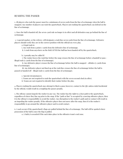#### RUSHING THE PASSER

1. All players who rush the passer must be a minimum of seven yards from the line of scrimmage when the ball is snapped. Any number of players can rush the quarterback. Players not rushing the quarterback can defend on the line of scrimmage.

2. Once the ball is handed off, the seven-yard rule no longer is in effect and all defenders may go behind the line of scrimmage.

3. A special marker, or the referee, will designate a rush line seven yards from the line of scrimmage. Defensive players should verify they are in the correct position with the official on every play.

a A legal rush is:

i. Any rush from a point 7-yards from the defensive line of scrimmage.

ii. A rush from anywhere on the field AFTER the ball has been handed off by the quarterback.

b. A penalty may be called if:

i. The rusher leaves the rush line before the snap crosses the line of scrimmage before a handoff or pass – illegal rush (5-yards from the line of scrimmage).

ii. Any defensive player crosses the line of scrimmage before the ball is snapped – offsides (5-yards from line of scrimmage).

iii. Any defensive player not lined up at the rush line crosses the line of scrimmage before the ball is passed or handed off – illegal rush (5-yards from the line of scrimmage).

c. Special circumstances:

i. Teams are not required to rush the quarterback with the seven second clock in effect.

ii. Teams are not required to identify their rusher before the play.

4. Players rushing the quarterback may attempt to block a pass; however, contact to the QB, unless ruled incidental by the official, would result in a roughing the passer penalty.

5. The offense cannot impede the rusher in any way. The rusher has the right to a clear path to the quarterback, regardless of where they line up prior to the snap. If the "path or line" is occupied by a moving offensive player, then it is the offense's responsibility to avoid the rusher. Any disruption to the rusher's path and/or contact will result in an impeding the rusher penalty. If the offensive player does not move after the snap, then it is the rusher's responsibility to go around the offensive player and to avoid contact.

6. A sack occurs if the quarterback's flags are pulled behind the line of scrimmage. The ball will be spotted where possession of the ball is once the flag is pulled.

a. A Safety is awarded if the sack takes place in the offensive team's end zone.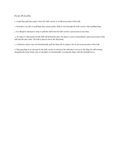## FLAG PULLING

1. A legal flag pull takes place when the ball-carrier is in full possession of the ball.

2. Defenders can dive to pull flags but cannot tackle, hold or run through the ball-carrier when pulling flags.

3. It is illegal to attempt to strip or pull the ball from the ball-carrier's possession at any time.

4. If a player's flag inadvertently falls off during the play, the player is down immediately upon possession of the ball and the play ends. The ball is placed where the flag lands.

5. A defensive player may not intentionally pull the flags off of a player who is not in possession of the ball.

6. Flag guarding is an attempt by the ball-carrier to obstruct the defender's access to the flags by stiff arming, dropping the head, hand, arm or shoulder or intentionally covering the flags with the football jersey.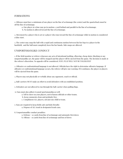#### FORMATIONS

1. Offenses must have a minimum of one player on the line of scrimmage (the center) and the quarterback must be off the line of scrimmage.

a. One player at a time may go in motion 1-yard behind and parallel to the line of scrimmage.

b. No motion is allowed toward the line of scrimmage.

2. Movement by a player who is set or a player who runs toward the line of scrimmage while in motion is considered a false start.

3. The center may snap the ball with a rapid and continuous motion between his/her legs to a player in the backfield, and the ball must completely leave his/her hands. Side snaps are allowed.

#### UNSPORTSMANLIKE CONDUCT

1. If the field monitor or referee witnesses any acts of intentional tackling, elbowing, cheap shots, blocking or any unsportsmanlike act, the game will be stopped and the player will be ejected from the game. The decision is made at the referee's discretion. No appeals will be considered. FOUL PLAY WILL NOT BE TOLERATED!

2. Offensive or confrontational language is not allowed. Officials have the right to determine offensive language. If offensive or confrontational language occurs, the referee will give one warning. If it continues, the player or players will be ejected from the game.

3. Players may not physically or verbally abuse any opponent, coach or official.

4. Ball-carriers MUST make an effort to avoid defenders with an established position.

5. Defenders are not allowed to run through the ball-carrier when pulling flags.

- 6. Fans must also adhere to good sportsmanship as well:
	- a. Yell to cheer on your players, not to harass officials or other teams.
	- b. Keep comments clean and profanity free.
	- c. Compliment ALL players, not just one child or team.

7. Fans are required to keep fields safe and kids friendly:

- a. Dispose of ALL trash in designated trash cans.
- 8. Unsportsmanlike conduct penalties:
	- a. Defense + 10 yards from line of scrimmage and automatic first down
	- b. Offense 10 yards from line of scrimmage and loss of down